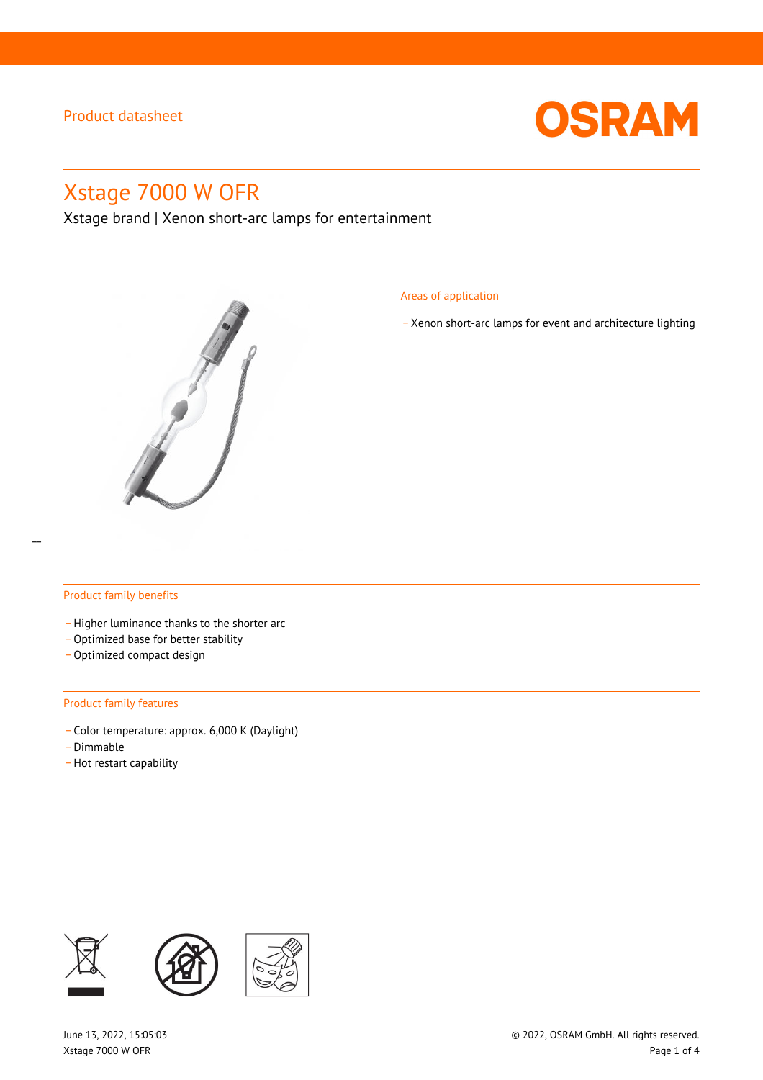

# Xstage 7000 W OFR

Xstage brand | Xenon short-arc lamps for entertainment



Areas of application

\_ Xenon short-arc lamps for event and architecture lighting

#### Product family benefits

- Higher luminance thanks to the shorter arc
- Optimized base for better stability
- Optimized compact design

#### Product family features

- \_ Color temperature: approx. 6,000 K (Daylight)
- .<br>Dimmable -
- Hot restart capability

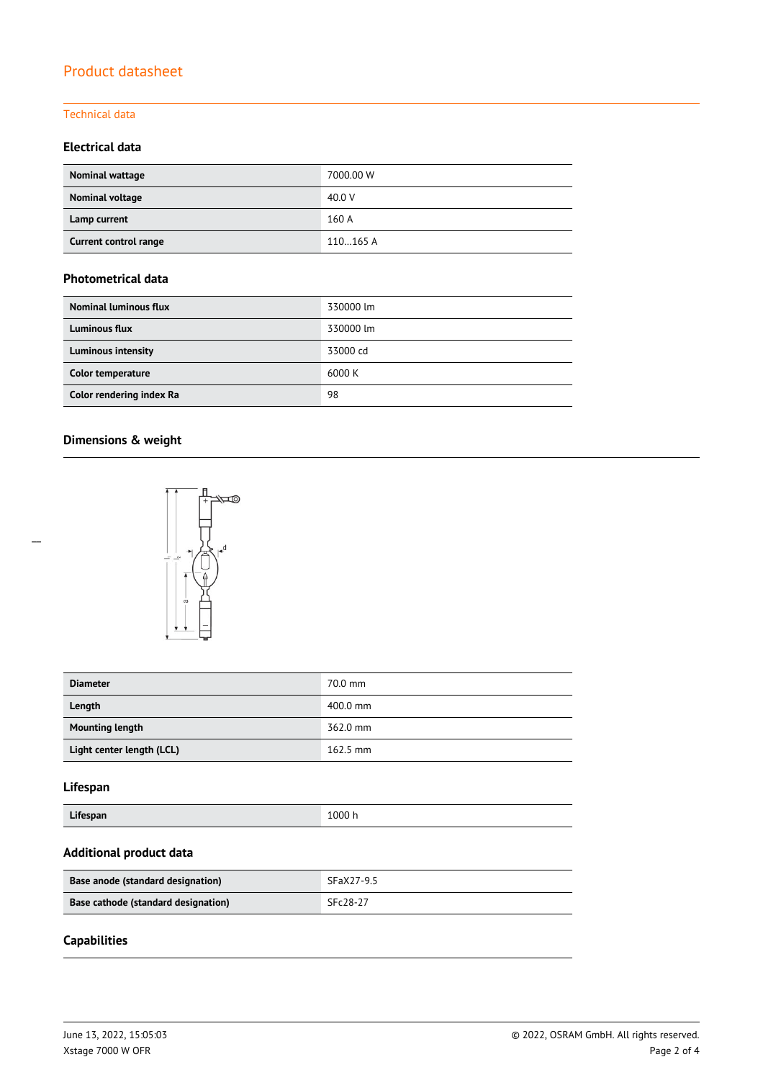#### Technical data

## **Electrical data**

| Nominal wattage       | 7000.00 W |
|-----------------------|-----------|
| Nominal voltage       | 40.0 V    |
| Lamp current          | 160 A     |
| Current control range | 110165 A  |

### **Photometrical data**

| <b>Nominal luminous flux</b> | 330000 lm |
|------------------------------|-----------|
| <b>Luminous flux</b>         | 330000 lm |
| <b>Luminous intensity</b>    | 33000 cd  |
| Color temperature            | 6000 K    |
| Color rendering index Ra     | 98        |

### **Dimensions & weight**



| <b>Diameter</b>           | 70.0 mm    |
|---------------------------|------------|
| Length                    | 400.0 mm   |
| <b>Mounting length</b>    | 362.0 mm   |
| Light center length (LCL) | $162.5$ mm |

## **Lifespan**

| Lifespan | 1000 h |
|----------|--------|
|----------|--------|

### **Additional product data**

| Base anode (standard designation)   | SFaX27-9.5 |
|-------------------------------------|------------|
| Base cathode (standard designation) | SFc28-27   |

## **Capabilities**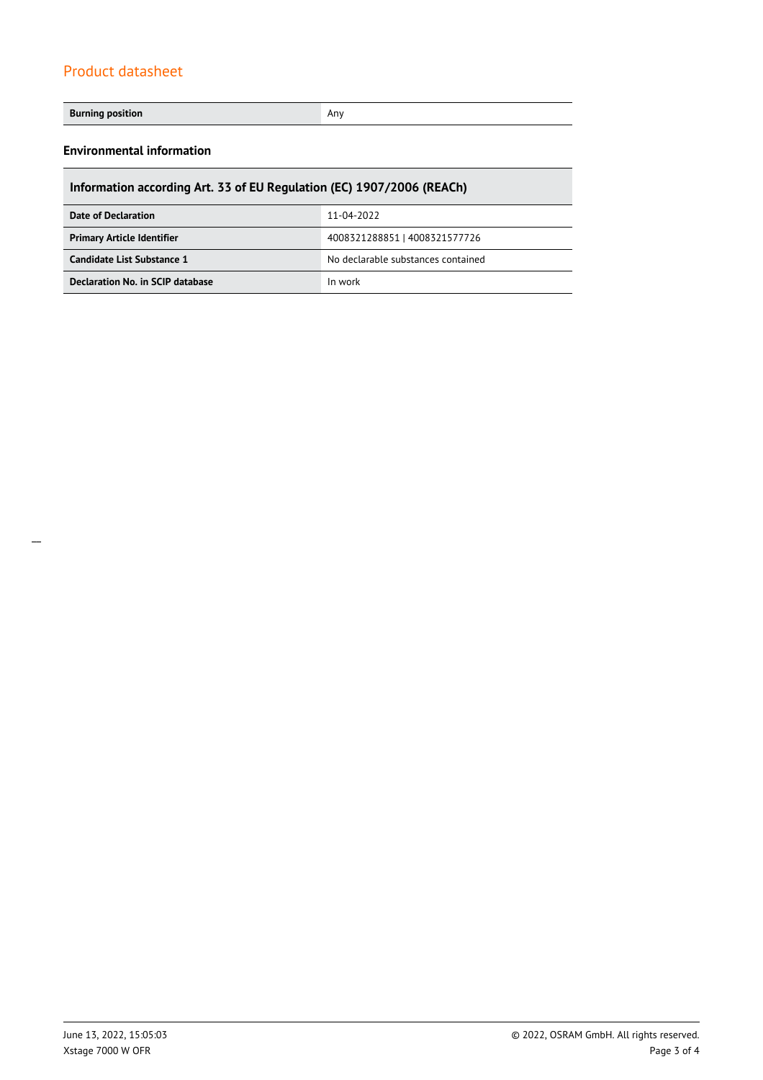#### **Burning position Any Any Any Any Any Any Any Any Any**

### **Environmental information**

| Information according Art. 33 of EU Regulation (EC) 1907/2006 (REACh) |                               |  |  |
|-----------------------------------------------------------------------|-------------------------------|--|--|
| 11-04-2022<br>Date of Declaration                                     |                               |  |  |
| <b>Primary Article Identifier</b>                                     | 4008321288851   4008321577726 |  |  |
| Candidate List Substance 1<br>No declarable substances contained      |                               |  |  |
| Declaration No. in SCIP database                                      | In work                       |  |  |